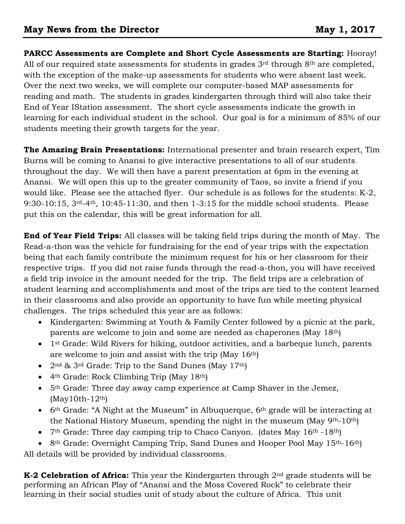**PARCC Assessments are Complete and Short Cycle Assessments are Starting:** Hooray! All of our required state assessments for students in grades  $3<sup>rd</sup>$  through  $8<sup>th</sup>$  are completed, with the exception of the make-up assessments for students who were absent last week. Over the next two weeks, we will complete our computer-based MAP assessments for reading and math. The students in grades kindergarten through third will also take their End of Year IStation assessment. The short cycle assessments indicate the growth in learning for each individual student in the school. Our goal is for a minimum of 85% of our students meeting their growth targets for the year.

**The Amazing Brain Presentations:** International presenter and brain research expert, Tim Burns will be coming to Anansi to give interactive presentations to all of our students throughout the day. We will then have a parent presentation at 6pm in the evening at Anansi. We will open this up to the greater community of Taos, so invite a friend if you would like. Please see the attached flyer. Our schedule is as follows for the students: K-2, 9:30-10:15, 3rd-4th, 10:45-11:30, and then 1-3:15 for the middle school students. Please put this on the calendar, this will be great information for all.

**End of Year Field Trips:** All classes will be taking field trips during the month of May. The Read-a-thon was the vehicle for fundraising for the end of year trips with the expectation being that each family contribute the minimum request for his or her classroom for their respective trips. If you did not raise funds through the read-a-thon, you will have received a field trip invoice in the amount needed for the trip. The field trips are a celebration of student learning and accomplishments and most of the trips are tied to the content learned in their classrooms and also provide an opportunity to have fun while meeting physical challenges. The trips scheduled this year are as follows:

- Kindergarten: Swimming at Youth & Family Center followed by a picnic at the park, parents are welcome to join and some are needed as chaperones (May 18th)
- 1<sup>st</sup> Grade: Wild Rivers for hiking, outdoor activities, and a barbeque lunch, parents are welcome to join and assist with the trip (May 16th)
- $2<sup>nd</sup>$  & 3<sup>rd</sup> Grade: Trip to the Sand Dunes (May 17<sup>th</sup>)
- 4th Grade: Rock Climbing Trip (May 18th)
- 5<sup>th</sup> Grade: Three day away camp experience at Camp Shaver in the Jemez,  $(May10th-12<sup>th</sup>)$
- $\bullet$  6<sup>th</sup> Grade: "A Night at the Museum" in Albuquerque, 6<sup>th</sup> grade will be interacting at the National History Museum, spending the night in the museum (May 9th-10th)
- $7<sup>th</sup>$  Grade: Three day camping trip to Chaco Canyon. (dates May 16<sup>th</sup> -18<sup>th</sup>)
- 8<sup>th</sup> Grade: Overnight Camping Trip, Sand Dunes and Hooper Pool May 15<sup>th</sup>-16<sup>th</sup>)

All details will be provided by individual classrooms.

**K-2 Celebration of Africa:** This year the Kindergarten through 2nd grade students will be performing an African Play of "Anansi and the Moss Covered Rock" to celebrate their learning in their social studies unit of study about the culture of Africa. This unit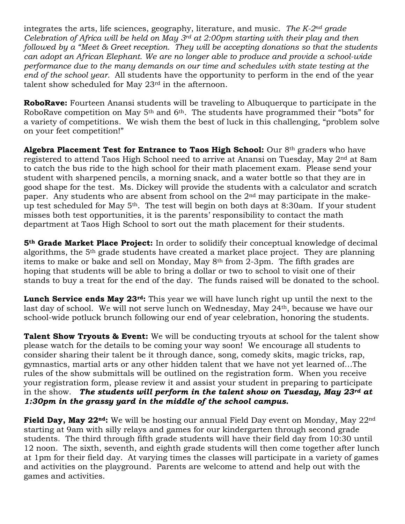integrates the arts, life sciences, geography, literature, and music. *The K-2nd grade Celebration of Africa will be held on May 3rd at 2:00pm starting with their play and then followed by a "Meet & Greet reception. They will be accepting donations so that the students can adopt an African Elephant. We are no longer able to produce and provide a school-wide performance due to the many demands on our time and schedules with state testing at the end of the school year.* All students have the opportunity to perform in the end of the year talent show scheduled for May 23rd in the afternoon.

**RoboRave:** Fourteen Anansi students will be traveling to Albuquerque to participate in the RoboRave competition on May 5<sup>th</sup> and 6<sup>th</sup>. The students have programmed their "bots" for a variety of competitions. We wish them the best of luck in this challenging, "problem solve on your feet competition!"

Algebra Placement Test for Entrance to Taos High School: Our 8<sup>th</sup> graders who have registered to attend Taos High School need to arrive at Anansi on Tuesday, May 2nd at 8am to catch the bus ride to the high school for their math placement exam. Please send your student with sharpened pencils, a morning snack, and a water bottle so that they are in good shape for the test. Ms. Dickey will provide the students with a calculator and scratch paper. Any students who are absent from school on the 2nd may participate in the makeup test scheduled for May 5th. The test will begin on both days at 8:30am. If your student misses both test opportunities, it is the parents' responsibility to contact the math department at Taos High School to sort out the math placement for their students.

**5th Grade Market Place Project:** In order to solidify their conceptual knowledge of decimal algorithms, the 5th grade students have created a market place project. They are planning items to make or bake and sell on Monday, May 8th from 2-3pm. The fifth grades are hoping that students will be able to bring a dollar or two to school to visit one of their stands to buy a treat for the end of the day. The funds raised will be donated to the school.

**Lunch Service ends May 23rd:** This year we will have lunch right up until the next to the last day of school. We will not serve lunch on Wednesday, May 24th, because we have our school-wide potluck brunch following our end of year celebration, honoring the students.

**Talent Show Tryouts & Event:** We will be conducting tryouts at school for the talent show please watch for the details to be coming your way soon! We encourage all students to consider sharing their talent be it through dance, song, comedy skits, magic tricks, rap, gymnastics, martial arts or any other hidden talent that we have not yet learned of…The rules of the show submittals will be outlined on the registration form. When you receive your registration form, please review it and assist your student in preparing to participate in the show. *The students will perform in the talent show on Tuesday, May 23rd at 1:30pm in the grassy yard in the middle of the school campus.* 

**Field Day, May 22nd:** We will be hosting our annual Field Day event on Monday, May 22nd starting at 9am with silly relays and games for our kindergarten through second grade students. The third through fifth grade students will have their field day from 10:30 until 12 noon. The sixth, seventh, and eighth grade students will then come together after lunch at 1pm for their field day. At varying times the classes will participate in a variety of games and activities on the playground. Parents are welcome to attend and help out with the games and activities.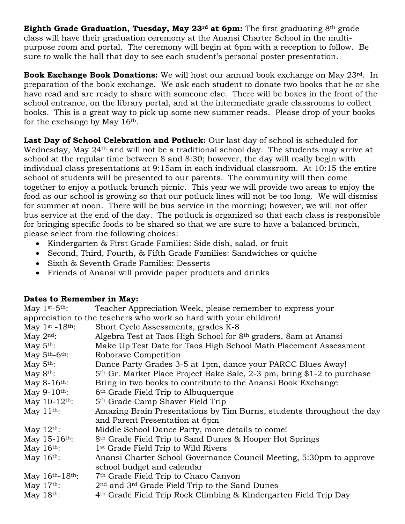**Eighth Grade Graduation, Tuesday, May 23rd at 6pm:** The first graduating 8th grade class will have their graduation ceremony at the Anansi Charter School in the multipurpose room and portal. The ceremony will begin at 6pm with a reception to follow. Be sure to walk the hall that day to see each student's personal poster presentation.

**Book Exchange Book Donations:** We will host our annual book exchange on May 23rd. In preparation of the book exchange. We ask each student to donate two books that he or she have read and are ready to share with someone else. There will be boxes in the front of the school entrance, on the library portal, and at the intermediate grade classrooms to collect books. This is a great way to pick up some new summer reads. Please drop of your books for the exchange by May 16th.

Last Day of School Celebration and Potluck: Our last day of school is scheduled for Wednesday, May 24<sup>th</sup> and will not be a traditional school day. The students may arrive at school at the regular time between 8 and 8:30; however, the day will really begin with individual class presentations at 9:15am in each individual classroom. At 10:15 the entire school of students will be presented to our parents. The community will then come together to enjoy a potluck brunch picnic. This year we will provide two areas to enjoy the food as our school is growing so that our potluck lines will not be too long. We will dismiss for summer at noon. There will be bus service in the morning; however, we will not offer bus service at the end of the day. The potluck is organized so that each class is responsible for bringing specific foods to be shared so that we are sure to have a balanced brunch, please select from the following choices:

- Kindergarten & First Grade Families: Side dish, salad, or fruit
- Second, Third, Fourth, & Fifth Grade Families: Sandwiches or quiche
- Sixth & Seventh Grade Families: Desserts
- Friends of Anansi will provide paper products and drinks

## **Dates to Remember in May:**

| May $1st-5th$ :                                                   | Teacher Appreciation Week, please remember to express your                          |
|-------------------------------------------------------------------|-------------------------------------------------------------------------------------|
| appreciation to the teachers who work so hard with your children! |                                                                                     |
| May $1st - 18th$ :                                                | Short Cycle Assessments, grades K-8                                                 |
| May $2^{\text{nd}}$ :                                             | Algebra Test at Taos High School for 8th graders, 8am at Anansi                     |
| May $5th$ :                                                       | Make Up Test Date for Taos High School Math Placement Assessment                    |
| May $5th-6th$ :                                                   | Roborave Competition                                                                |
| May $5th$ :                                                       | Dance Party Grades 3-5 at 1pm, dance your PARCC Blues Away!                         |
| May $8th$ :                                                       | 5 <sup>th</sup> Gr. Market Place Project Bake Sale, 2-3 pm, bring \$1-2 to purchase |
| May $8-16$ <sup>th</sup> :                                        | Bring in two books to contribute to the Anansi Book Exchange                        |
| May $9-10$ <sup>th</sup> :                                        | 6th Grade Field Trip to Albuquerque                                                 |
| May 10-12 <sup>th</sup> :                                         | 5 <sup>th</sup> Grade Camp Shaver Field Trip                                        |
| May $11th$ :                                                      | Amazing Brain Presentations by Tim Burns, students throughout the day               |
|                                                                   | and Parent Presentation at 6pm                                                      |
| May $12th$ :                                                      | Middle School Dance Party, more details to come!                                    |
| May $15 - 16$ <sup>th</sup> :                                     | 8 <sup>th</sup> Grade Field Trip to Sand Dunes & Hooper Hot Springs                 |
| May $16th$ :                                                      | 1 <sup>st</sup> Grade Field Trip to Wild Rivers                                     |
| May $16th$ :                                                      | Anansi Charter School Governance Council Meeting, 5:30pm to approve                 |
|                                                                   | school budget and calendar                                                          |
| May 16th-18th:                                                    | 7 <sup>th</sup> Grade Field Trip to Chaco Canyon                                    |
| May $17th$ :                                                      | 2 <sup>nd</sup> and 3 <sup>rd</sup> Grade Field Trip to the Sand Dunes              |
| May $18th$ :                                                      | 4th Grade Field Trip Rock Climbing & Kindergarten Field Trip Day                    |